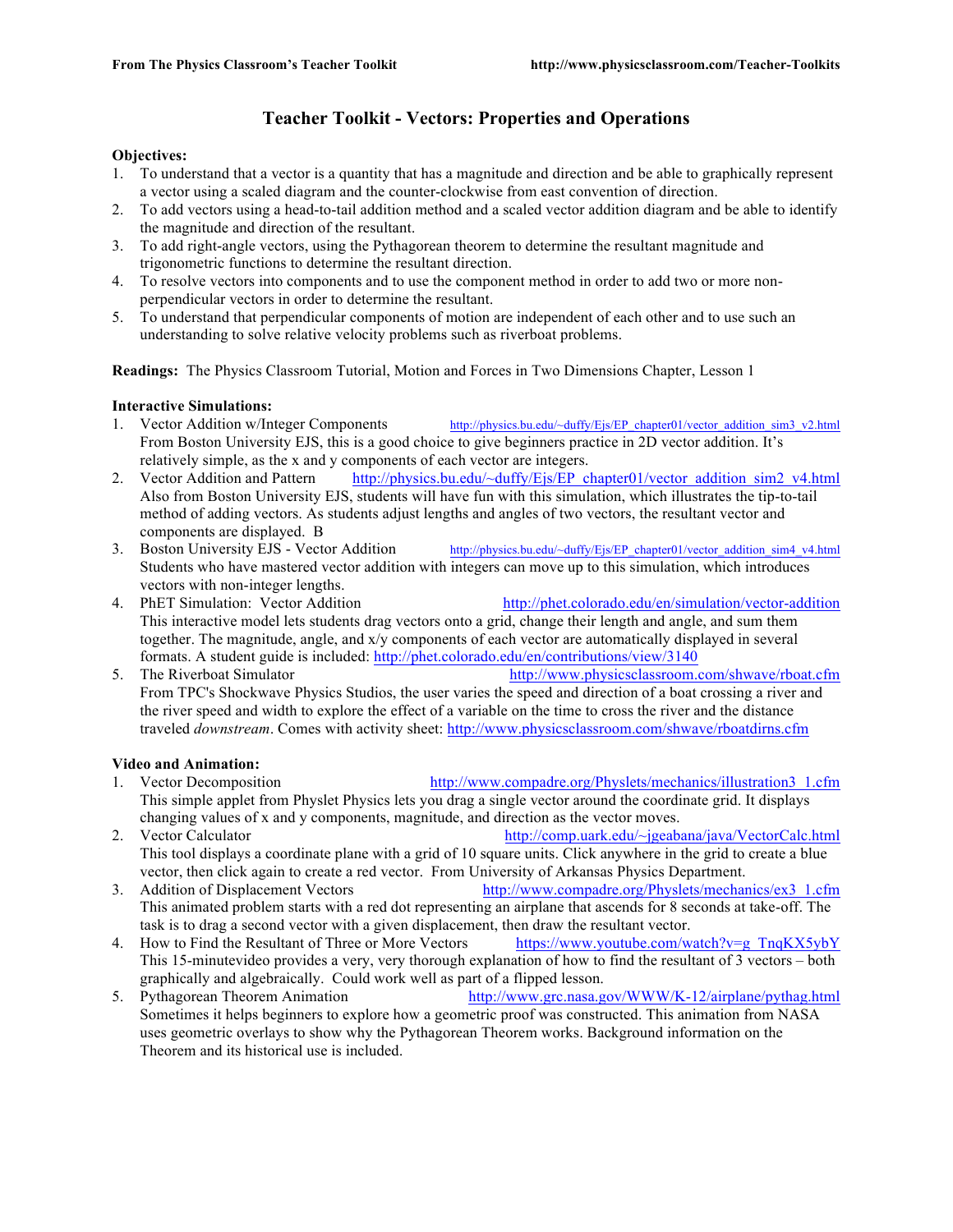# **Teacher Toolkit - Vectors: Properties and Operations**

#### **Objectives:**

- 1. To understand that a vector is a quantity that has a magnitude and direction and be able to graphically represent a vector using a scaled diagram and the counter-clockwise from east convention of direction.
- 2. To add vectors using a head-to-tail addition method and a scaled vector addition diagram and be able to identify the magnitude and direction of the resultant.
- 3. To add right-angle vectors, using the Pythagorean theorem to determine the resultant magnitude and trigonometric functions to determine the resultant direction.
- 4. To resolve vectors into components and to use the component method in order to add two or more nonperpendicular vectors in order to determine the resultant.
- 5. To understand that perpendicular components of motion are independent of each other and to use such an understanding to solve relative velocity problems such as riverboat problems.

**Readings:** The Physics Classroom Tutorial, Motion and Forces in Two Dimensions Chapter, Lesson 1

#### **Interactive Simulations:**

- 1. Vector Addition w/Integer Components http://physics.bu.edu/~duffy/Ejs/EP\_chapter01/vector\_addition\_sim3\_v2.html From Boston University EJS, this is a good choice to give beginners practice in 2D vector addition. It's relatively simple, as the x and y components of each vector are integers.
- 2. Vector Addition and Pattern http://physics.bu.edu/~duffy/Ejs/EP\_chapter01/vector\_addition\_sim2\_v4.html Also from Boston University EJS, students will have fun with this simulation, which illustrates the tip-to-tail method of adding vectors. As students adjust lengths and angles of two vectors, the resultant vector and components are displayed. B
- 3. Boston University EJS Vector Addition http://physics.bu.edu/~duffy/Ejs/EP\_chapter01/vector\_addition\_sim4\_v4.html Students who have mastered vector addition with integers can move up to this simulation, which introduces vectors with non-integer lengths.
- 4. PhET Simulation: Vector Addition http://phet.colorado.edu/en/simulation/vector-addition This interactive model lets students drag vectors onto a grid, change their length and angle, and sum them together. The magnitude, angle, and x/y components of each vector are automatically displayed in several formats. A student guide is included: http://phet.colorado.edu/en/contributions/view/3140
- 5. The Riverboat Simulator http://www.physicsclassroom.com/shwave/rboat.cfm From TPC's Shockwave Physics Studios, the user varies the speed and direction of a boat crossing a river and the river speed and width to explore the effect of a variable on the time to cross the river and the distance traveled *downstream*. Comes with activity sheet: http://www.physicsclassroom.com/shwave/rboatdirns.cfm

### **Video and Animation:**

- 1. Vector Decomposition http://www.compadre.org/Physlets/mechanics/illustration3\_1.cfm This simple applet from Physlet Physics lets you drag a single vector around the coordinate grid. It displays changing values of x and y components, magnitude, and direction as the vector moves.
- 2. Vector Calculator http://comp.uark.edu/~jgeabana/java/VectorCalc.html This tool displays a coordinate plane with a grid of 10 square units. Click anywhere in the grid to create a blue vector, then click again to create a red vector. From University of Arkansas Physics Department.
- 3. Addition of Displacement Vectors http://www.compadre.org/Physlets/mechanics/ex3\_1.cfm This animated problem starts with a red dot representing an airplane that ascends for 8 seconds at take-off. The task is to drag a second vector with a given displacement, then draw the resultant vector.
- 4. How to Find the Resultant of Three or More Vectors https://www.youtube.com/watch?v=g\_TnqKX5ybY This 15-minutevideo provides a very, very thorough explanation of how to find the resultant of 3 vectors – both graphically and algebraically. Could work well as part of a flipped lesson.
- 5. Pythagorean Theorem Animation http://www.grc.nasa.gov/WWW/K-12/airplane/pythag.html Sometimes it helps beginners to explore how a geometric proof was constructed. This animation from NASA uses geometric overlays to show why the Pythagorean Theorem works. Background information on the Theorem and its historical use is included.